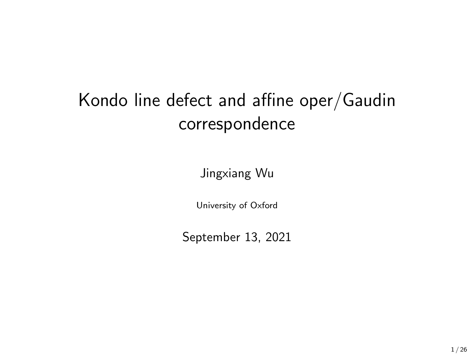# Kondo line defect and affine oper/Gaudin correspondence

Jingxiang Wu

University of Oxford

September 13, 2021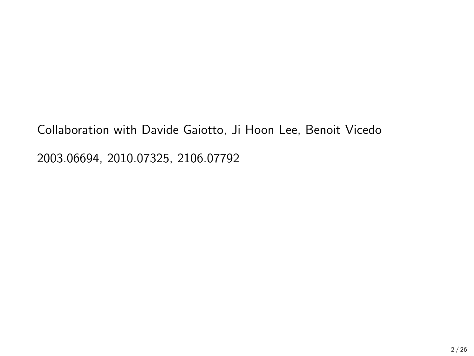Collaboration with Davide Gaiotto, Ji Hoon Lee, Benoit Vicedo 2003.06694, 2010.07325, 2106.07792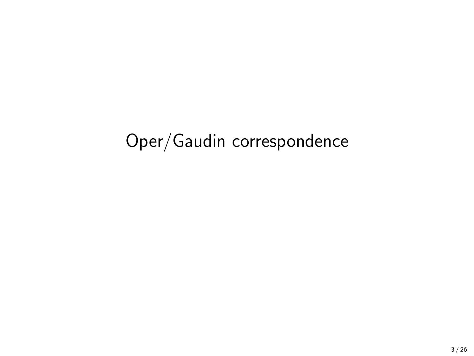# <span id="page-2-0"></span>[Oper/Gaudin correspondence](#page-2-0)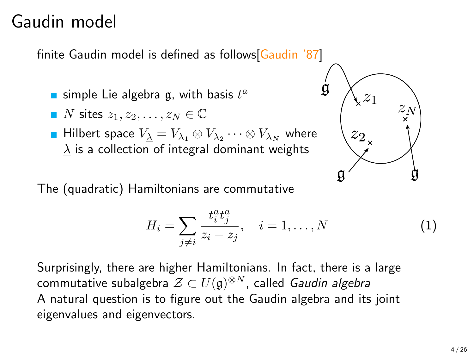### Gaudin model

finite Gaudin model is defined as follows[Gaudin '87]

- simple Lie algebra  $\mathfrak g$ , with basis  $t^a$
- $\blacksquare$  N sites  $z_1, z_2, \ldots, z_N \in \mathbb{C}$
- Hilbert space  $V_{\underline{\lambda}}=V_{\lambda_1}\otimes V_{\lambda_2}\cdots\otimes V_{\lambda_N}$  where  $\lambda$  is a collection of integral dominant weights

The (quadratic) Hamiltonians are commutative

$$
H_i = \sum_{j \neq i} \frac{t_i^a t_j^a}{z_i - z_j}, \quad i = 1, ..., N
$$
 (1)

Surprisingly, there are higher Hamiltonians. In fact, there is a large commutative subalgebra  $\mathcal{Z}\subset U(\mathfrak{g})^{\otimes N}$ , called *Gaudin algebra* A natural question is to figure out the Gaudin algebra and its joint eigenvalues and eigenvectors.

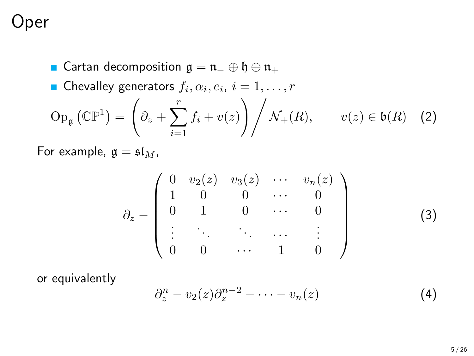### **ber**

**■** Cartan decomposition  $\mathfrak{g} = \mathfrak{n}_- \oplus \mathfrak{h} \oplus \mathfrak{n}_+$ Chevalley generators  $f_i, \alpha_i, e_i, i = 1, \ldots, r$  $\operatorname{Op}_{\mathfrak{g}}\left(\mathbb{CP}^1\right) =$  $\sqrt{2}$  $\partial_z + \sum^r$  $i=1$  $f_i + v(z)$   $\bigg/ \mathcal{N}_+(R)$ ,  $v(z) \in \mathfrak{b}(R)$  (2)

For example,  $\mathfrak{g} = \mathfrak{sl}_M$ ,

$$
\partial_z - \begin{pmatrix}\n0 & v_2(z) & v_3(z) & \cdots & v_n(z) \\
1 & 0 & 0 & \cdots & 0 \\
0 & 1 & 0 & \cdots & 0 \\
\vdots & \ddots & \ddots & \ddots & \vdots \\
0 & 0 & \cdots & 1 & 0\n\end{pmatrix}
$$
\n(3)

or equivalently

$$
\partial_z^n - v_2(z)\partial_z^{n-2} - \cdots - v_n(z) \tag{4}
$$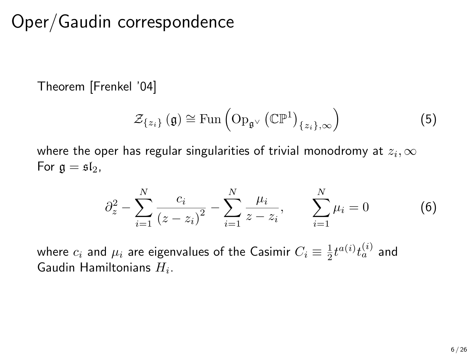# Oper/Gaudin correspondence

Theorem [Frenkel '04]

$$
\mathcal{Z}_{\{z_i\}}\left(\mathfrak{g}\right) \cong \mathrm{Fun}\left(\mathrm{Op}_{\mathfrak{g}^\vee}\left(\mathbb{CP}^1\right)_{\{z_i\},\infty}\right) \tag{5}
$$

where the oper has regular singularities of trivial monodromy at  $z_i,\infty$ For  $\mathfrak{g} = \mathfrak{sl}_2$ ,

$$
\partial_z^2 - \sum_{i=1}^N \frac{c_i}{(z - z_i)^2} - \sum_{i=1}^N \frac{\mu_i}{z - z_i}, \qquad \sum_{i=1}^N \mu_i = 0 \tag{6}
$$

where  $c_i$  and  $\mu_i$  are eigenvalues of the Casimir  $C_i \equiv \frac{1}{2} t^{a(i)} t_a^{(i)}$  and Gaudin Hamiltonians  $H_i$ .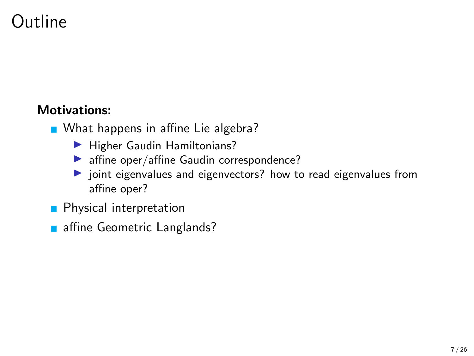# Outline

#### Motivations:

- What happens in affine Lie algebra?
	- ▶ Higher Gaudin Hamiltonians?
	- ▶ affine oper/affine Gaudin correspondence?
	- ▶ joint eigenvalues and eigenvectors? how to read eigenvalues from affine oper?
- **Physical interpretation**
- affine Geometric Langlands?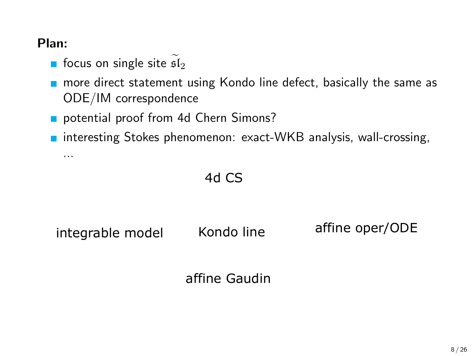#### Plan:

...

- focus on single site  $5l<sub>2</sub>$
- **n** more direct statement using Kondo line defect, basically the same as ODE/IM correspondence
- potential proof from 4d Chern Simons?
- **n** interesting Stokes phenomenon: exact-WKB analysis, wall-crossing,

4d CS

integrable model Kondo line affine oper/ODE

Kondo line

affine Gaudin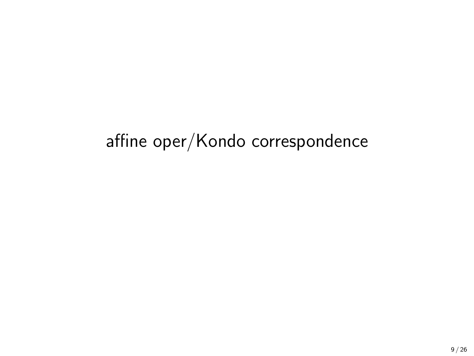# <span id="page-8-0"></span>[affine oper/Kondo correspondence](#page-8-0)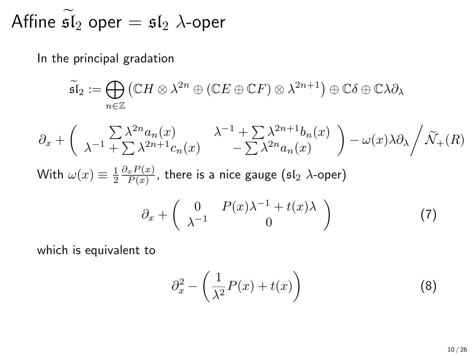Affine  $\mathfrak{sl}_2$  oper =  $\mathfrak{sl}_2$   $\lambda$ -oper

In the principal gradation

$$
\widetilde{\mathfrak{sl}}_2 := \bigoplus_{n \in \mathbb{Z}} (\mathbb{C}H \otimes \lambda^{2n} \oplus (\mathbb{C}E \oplus \mathbb{C}F) \otimes \lambda^{2n+1}) \oplus \mathbb{C}\delta \oplus \mathbb{C}\lambda \partial_{\lambda}
$$

$$
\partial_x + \left( \begin{array}{cc} \sum \lambda^{2n} a_n(x) & \lambda^{-1} + \sum \lambda^{2n+1} b_n(x) \\ \lambda^{-1} + \sum \lambda^{2n+1} c_n(x) & - \sum \lambda^{2n} a_n(x) \end{array} \right) - \omega(x) \lambda \partial_\lambda \bigg/ \widetilde{\mathcal{N}}_+(R)
$$
  
With  $\omega(x) \equiv \frac{1}{2} \frac{\partial_x P(x)}{P(x)}$ , there is a nice gauge (sf<sub>2</sub>  $\lambda$ -oper)  

$$
\partial_x + \left( \begin{array}{cc} 0 & P(x) \lambda^{-1} + t(x) \lambda \\ \lambda^{-1} & 0 \end{array} \right)
$$
(7)

which is equivalent to

$$
\partial_x^2 - \left(\frac{1}{\lambda^2}P(x) + t(x)\right) \tag{8}
$$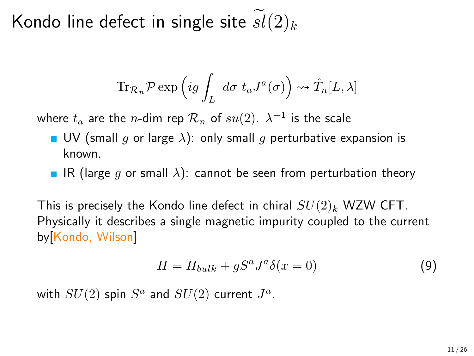Kondo line defect in single site  $sl(2)_k$ 

$$
\operatorname{Tr}_{\mathcal{R}_n} \mathcal{P} \exp \left( ig \int_L d\sigma \ t_a J^a(\sigma) \right) \rightsquigarrow \hat{T}_n[L, \lambda]
$$

where  $t_a$  are the  $n$ -dim rep  $\mathcal{R}_n$  of  $su(2)$ .  $\lambda^{-1}$  is the scale

- UV (small q or large  $\lambda$ ): only small q perturbative expansion is known.
- **IR** (large g or small  $\lambda$ ): cannot be seen from perturbation theory

This is precisely the Kondo line defect in chiral  $SU(2)_k$  WZW CFT. Physically it describes a single magnetic impurity coupled to the current by[Kondo, Wilson]

$$
H = H_{bulk} + gS^a J^a \delta(x = 0)
$$
\n(9)

with  $SU(2)$  spin  $S^a$  and  $SU(2)$  current  $J^a$ .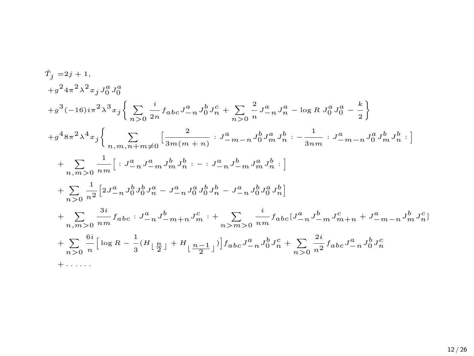$$
\begin{split} \dot{T}_j=&2j+1,\\ +g^2&4\pi^2\lambda^2x_jJ_0^aJ_0^a\\ +g^3(-16)i\pi^2\lambda^3x_j\bigg\{\sum_{n>0}\frac{i}{2n}f_{abc}J_{-n}^aJ_0^bJ_n^c+\sum_{n>0}\frac{2}{n}J_{-n}^aJ_n^a-\log R\,J_0^aJ_0^a-\frac{k}{2}\bigg\}\\ +g^4&8\pi^2\lambda^4x_j\bigg\{\sum_{n,m,n+m\neq 0}\Big[\frac{2}{3m(m+n)}:J_{-m-n}^aJ_0^bJ_m^aJ_n^b:-\frac{1}{3nm}:J_{-m-n}^aJ_0^aJ_m^bJ_n^b:\Big]\\ +\sum_{n,m>0}\frac{1}{nm}\Big[:J_{-n}^aJ_{-m}^aJ_m^bJ_n^b:-:J_{-n}^aJ_{-m}^bJ_m^aJ_n^b:\Big]\\ +\sum_{n>0}\frac{1}{n^2}\Big[2J_{-n}^aJ_0^bJ_0^bJ_n^a-J_{-n}^aJ_0^aJ_0^bJ_n^b-J_{-n}^aJ_0^bJ_0^aJ_n^b\Big]\\ +\sum_{n,m>0}\frac{3i}{nm}f_{abc}:J_{-n}^aJ_{-m}^aJ_0^aJ_0^bJ_n^b-J_{-n}^aJ_0^bJ_0^aJ_n^b\Big]\\ +\sum_{n>0}\frac{3i}{nm}f_{abc}:J_{-n}^aJ_{-m+n}^bJ_m^c:+\sum_{n> m>0}\frac{i}{nm}f_{abc}[J_{-n}^aJ_{-m}^bJ_m^c+n+J_{-m-n}^aJ_0^bJ_n^c]\\ +\sum_{n>0}\frac{6i}{n}\Big[\log R-\frac{1}{3}(H_{\lfloor\frac{n}{2}\rfloor}+H_{\lfloor\frac{n-1}{2}\rfloor})\Big]f_{abc}J_{-n}^aJ_0^bJ_n^c+\sum_{n>0}\frac{2i}{n^2}f_{abc}J_{-n}^aJ_0^bJ_n^c\\ +\cdots\cdots\end{split}
$$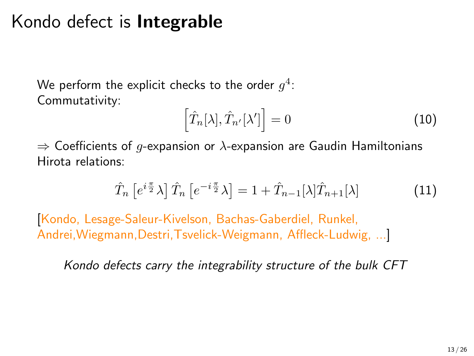### Kondo defect is Integrable

We perform the explicit checks to the order  $g^4\colon$ Commutativity:

$$
\left[\hat{T}_n[\lambda], \hat{T}_{n'}[\lambda']\right] = 0\tag{10}
$$

 $\Rightarrow$  Coefficients of q-expansion or  $\lambda$ -expansion are Gaudin Hamiltonians Hirota relations:

$$
\hat{T}_n \left[ e^{i\frac{\pi}{2}} \lambda \right] \hat{T}_n \left[ e^{-i\frac{\pi}{2}} \lambda \right] = 1 + \hat{T}_{n-1}[\lambda] \hat{T}_{n+1}[\lambda]
$$
\n(11)

[Kondo, Lesage-Saleur-Kivelson, Bachas-Gaberdiel, Runkel, Andrei,Wiegmann,Destri,Tsvelick-Weigmann, Affleck-Ludwig, ...]

Kondo defects carry the integrability structure of the bulk CFT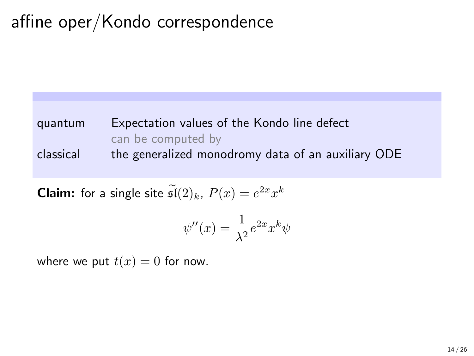# affine oper/Kondo correspondence

#### quantum Expectation values of the Kondo line defect can be computed by classical the generalized monodromy data of an auxiliary ODE

**Claim:** for a single site  $\mathfrak{sl}(2)_k$ ,  $P(x) = e^{2x} x^k$ 

$$
\psi''(x) = \frac{1}{\lambda^2} e^{2x} x^k \psi
$$

where we put  $t(x) = 0$  for now.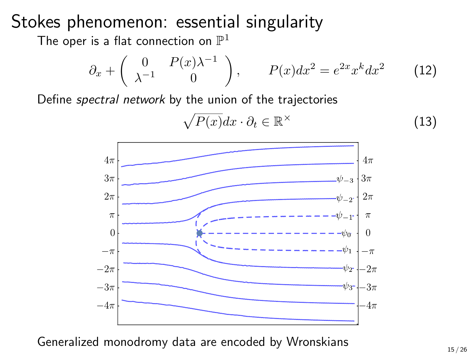### Stokes phenomenon: essential singularity

The oper is a flat connection on  $\mathbb{P}^1$ 

$$
\partial_x + \begin{pmatrix} 0 & P(x)\lambda^{-1} \\ \lambda^{-1} & 0 \end{pmatrix}, \qquad P(x)dx^2 = e^{2x}x^k dx^2 \qquad (12)
$$

Define spectral network by the union of the trajectories

$$
\sqrt{P(x)}dx \cdot \partial_t \in \mathbb{R}^\times \tag{13}
$$



Generalized monodromy data are encoded by Wronskians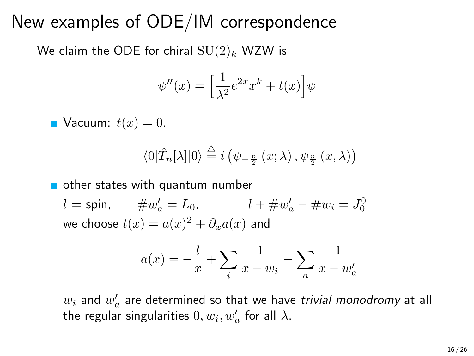### New examples of ODE/IM correspondence

We claim the ODE for chiral  $SU(2)_k$  WZW is

$$
\psi''(x) = \left[\frac{1}{\lambda^2}e^{2x}x^k + t(x)\right]\psi
$$

**Vacuum:**  $t(x) = 0$ .

$$
\langle 0|\hat{T}_n[\lambda]|0\rangle \stackrel{\triangle}{=} i\left(\psi_{-\frac{n}{2}}\left(x;\lambda\right),\psi_{\frac{n}{2}}\left(x,\lambda\right)\right)
$$

other states with quantum number

 $l = \mathsf{spin}, \qquad \#w'_a = L_0, \qquad \qquad l + \#w'_a - \#w_i = J_0^0$ we choose  $t(x)=a(x)^2+\partial_x a(x)$  and

$$
a(x) = -\frac{l}{x} + \sum_{i} \frac{1}{x - w_i} - \sum_{a} \frac{1}{x - w'_a}
$$

 $w_i$  and  $w'_a$  are determined so that we have *trivial monodromy* at all the regular singularities  $0,w_i,w'_a$  for all  $\lambda.$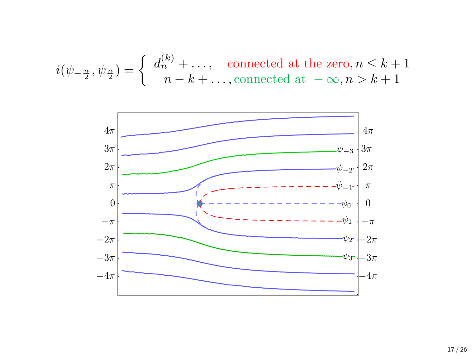$$
i(\psi_{-\frac{n}{2}}, \psi_{\frac{n}{2}}) = \begin{cases} d_n^{(k)} + \dots, & \text{connected at the zero, } n \le k+1 \\ n - k + \dots, & \text{connected at } -\infty, n > k+1 \end{cases}
$$

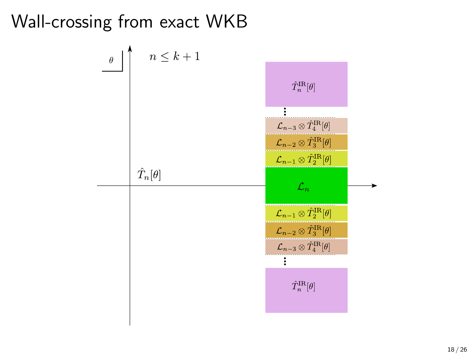Wall-crossing from exact WKB

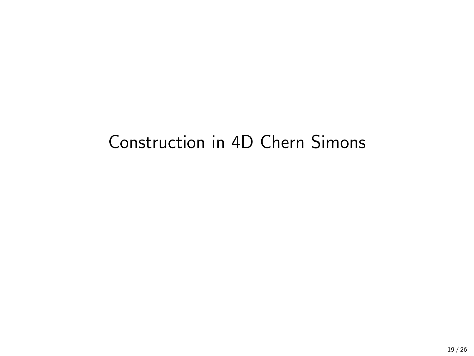# <span id="page-18-0"></span>[Construction in 4D Chern Simons](#page-18-0)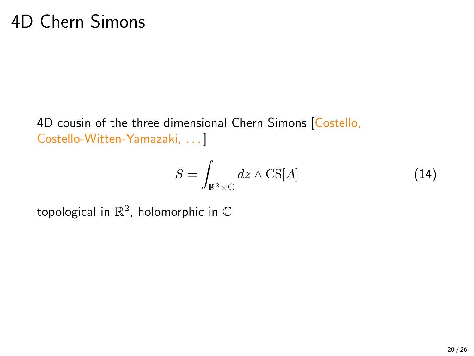### 4D Chern Simons

4D cousin of the three dimensional Chern Simons [Costello, Costello-Witten-Yamazaki, . . . ]

$$
S = \int_{\mathbb{R}^2 \times \mathbb{C}} dz \wedge \text{CS}[A] \tag{14}
$$

topological in  $\mathbb{R}^2$ , holomorphic in  $\mathbb C$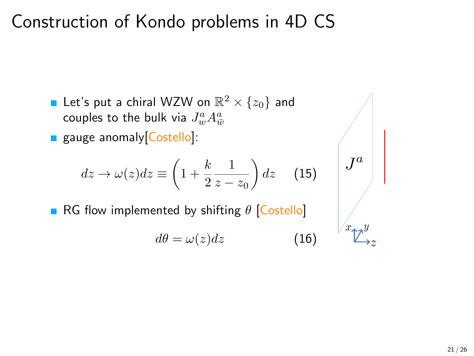### Construction of Kondo problems in 4D CS

- Let's put a chiral WZW on  $\mathbb{R}^2\times\{z_0\}$  and couples to the bulk via  $J^a_w A^a_{\bar w}$
- gauge anomaly Costello]:

$$
dz \to \omega(z)dz \equiv \left(1 + \frac{k}{2}\frac{1}{z - z_0}\right)dz \quad (15)
$$

RG flow implemented by shifting  $\theta$  [Costello]

$$
d\theta = \omega(z)dz \tag{16}
$$

 $J^a$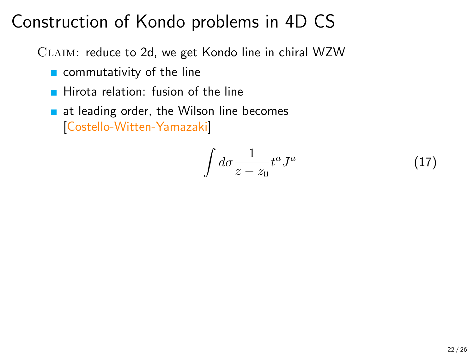# Construction of Kondo problems in 4D CS

CLAIM: reduce to 2d, we get Kondo line in chiral WZW

- commutativity of the line
- $\blacksquare$  Hirota relation: fusion of the line
- $\blacksquare$  at leading order, the Wilson line becomes [Costello-Witten-Yamazaki]

$$
\int d\sigma \frac{1}{z - z_0} t^a J^a \tag{17}
$$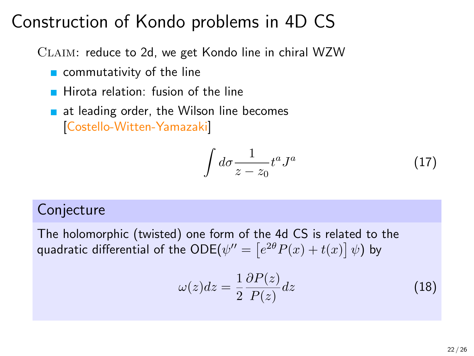# Construction of Kondo problems in 4D CS

CLAIM: reduce to 2d, we get Kondo line in chiral WZW

- $\blacksquare$  commutativity of the line
- $\blacksquare$  Hirota relation: fusion of the line
- $\blacksquare$  at leading order, the Wilson line becomes [Costello-Witten-Yamazaki]

$$
\int d\sigma \frac{1}{z - z_0} t^a J^a \tag{17}
$$

#### Conjecture

The holomorphic (twisted) one form of the 4d CS is related to the quadratic differential of the  $\mathsf{ODE}(\psi^{\prime\prime}=\left[e^{2\theta}P(x)+t(x)\right] \psi)$  by

J

$$
\omega(z)dz = \frac{1}{2}\frac{\partial P(z)}{P(z)}dz\tag{18}
$$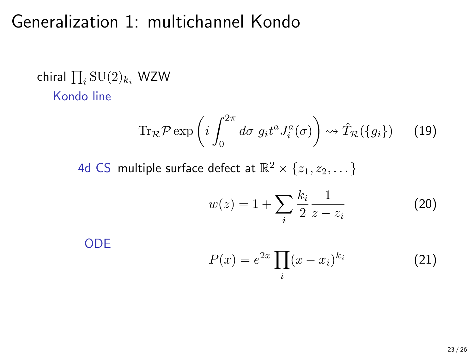### Generalization 1: multichannel Kondo

chiral  $\prod_i \mathrm{SU}(2)_{k_i}$  WZW Kondo line

$$
\operatorname{Tr}_{\mathcal{R}} \mathcal{P} \exp \left( i \int_0^{2\pi} d\sigma \ g_i t^a J_i^a(\sigma) \right) \rightsquigarrow \hat{T}_{\mathcal{R}}(\{g_i\}) \qquad (19)
$$

4d CS multiple surface defect at  $\mathbb{R}^2\times\{z_1,z_2,\dots\}$ 

$$
w(z) = 1 + \sum_{i} \frac{k_i}{2} \frac{1}{z - z_i}
$$
 (20)

ODE

$$
P(x) = e^{2x} \prod_i (x - x_i)^{k_i} \tag{21}
$$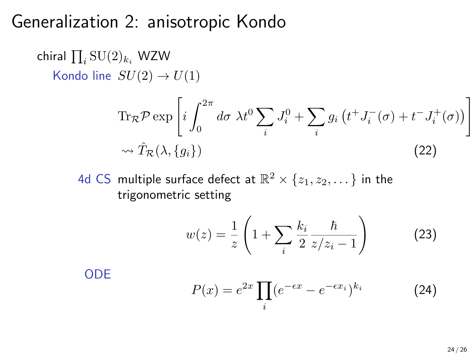### Generalization 2: anisotropic Kondo

chiral  $\prod_i \mathrm{SU}(2)_{k_i}$  WZW Kondo line  $SU(2) \rightarrow U(1)$  $\text{Tr}_{\mathcal{R}}\mathcal{P}\exp\left[i\int^{2\pi}% \nabla\Phi\left(\mathbf{r}\right)dr\right]$ 0  $d\sigma \lambda t^0 \sum$ i  $J_i^0+\sum$ i  $g_i\left(t^+ J_i^-(\sigma) + t^- J_i^+(\sigma)\right)$ 1

$$
\rightsquigarrow \hat{T}_{\mathcal{R}}(\lambda, \{g_i\})\tag{22}
$$

4d CS multiple surface defect at  $\mathbb{R}^2\times\{z_1,z_2,\dots\}$  in the trigonometric setting

$$
w(z) = \frac{1}{z} \left( 1 + \sum_{i} \frac{k_i}{2} \frac{\hbar}{z/z_i - 1} \right)
$$
 (23)

ODE

$$
P(x) = e^{2x} \prod_{i} (e^{-\epsilon x} - e^{-\epsilon x_i})^{k_i} \tag{24}
$$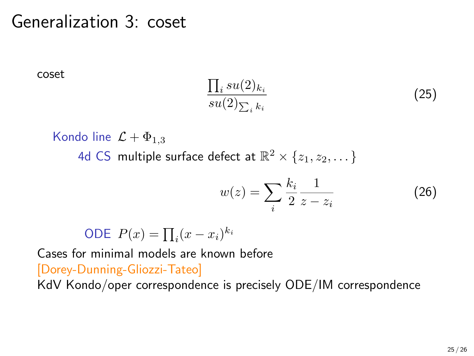### Generalization 3: coset

coset

$$
\frac{\prod_{i} su(2)_{k_i}}{su(2)_{\sum_{i} k_i}} \tag{25}
$$

Kondo line  $\mathcal{L} + \Phi_{1,3}$ 4d CS multiple surface defect at  $\mathbb{R}^2\times\{z_1,z_2,\dots\}$ 

$$
w(z) = \sum_{i} \frac{k_i}{2} \frac{1}{z - z_i}
$$
 (26)

ODE 
$$
P(x) = \prod_i (x - x_i)^{k_i}
$$

Cases for minimal models are known before [Dorey-Dunning-Gliozzi-Tateo] KdV Kondo/oper correspondence is precisely ODE/IM correspondence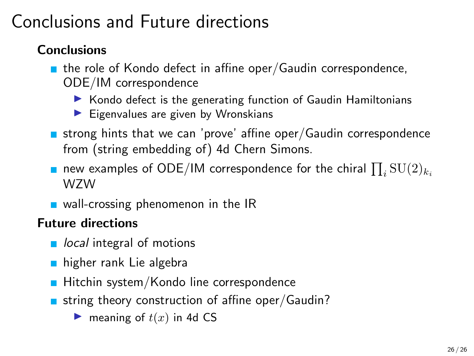# Conclusions and Future directions

#### Conclusions

- $\blacksquare$  the role of Kondo defect in affine oper/Gaudin correspondence, ODE/IM correspondence
	- ▶ Kondo defect is the generating function of Gaudin Hamiltonians
	- $\blacktriangleright$  Eigenvalues are given by Wronskians
- strong hints that we can 'prove' affine oper/Gaudin correspondence from (string embedding of) 4d Chern Simons.
- new examples of ODE/IM correspondence for the chiral  $\prod_i {\rm SU}(2)_{k_i}$ WZW
- $\blacksquare$  wall-crossing phenomenon in the IR

#### Future directions

- $\blacksquare$  local integral of motions
- higher rank Lie algebra
- $\blacksquare$  Hitchin system/Kondo line correspondence
- string theory construction of affine oper/Gaudin?
	- $\blacktriangleright$  meaning of  $t(x)$  in 4d CS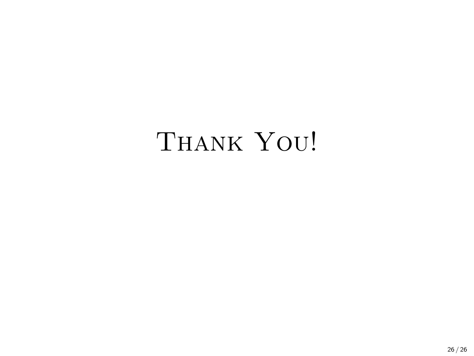# THANK YOU!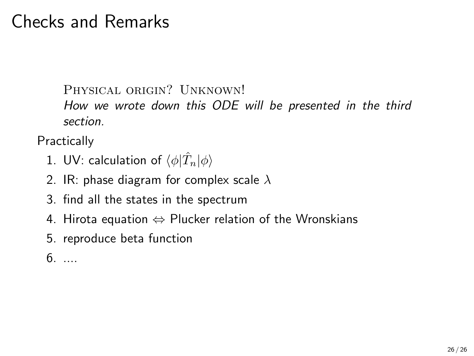### Checks and Remarks

Physical origin? Unknown!

How we wrote down this ODE will be presented in the third section.

**Practically** 

- 1. UV: calculation of  $\langle \phi | \hat{T}_n | \phi \rangle$
- 2. IR: phase diagram for complex scale  $\lambda$
- 3. find all the states in the spectrum
- 4. Hirota equation  $\Leftrightarrow$  Plucker relation of the Wronskians
- 5. reproduce beta function
- $6. \ldots$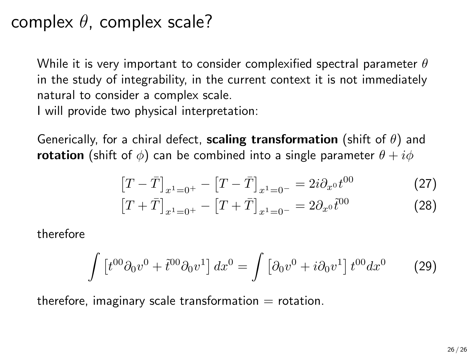### complex  $\theta$ , complex scale?

While it is very important to consider complexified spectral parameter  $\theta$ in the study of integrability, in the current context it is not immediately natural to consider a complex scale.

I will provide two physical interpretation:

Generically, for a chiral defect, **scaling transformation** (shift of  $\theta$ ) and **rotation** (shift of  $\phi$ ) can be combined into a single parameter  $\theta + i\phi$ 

$$
[T - \bar{T}]_{x^1 = 0^+} - [T - \bar{T}]_{x^1 = 0^-} = 2i\partial_{x^0}t^{00}
$$
 (27)

$$
[T+\bar{T}]_{x^1=0^+} - [T+\bar{T}]_{x^1=0^-} = 2\partial_{x^0}\tilde{t}^{00}
$$
 (28)

therefore

$$
\int \left[t^{00}\partial_0 v^0 + \tilde{t}^{00}\partial_0 v^1\right] dx^0 = \int \left[\partial_0 v^0 + i\partial_0 v^1\right] t^{00} dx^0 \tag{29}
$$

therefore, imaginary scale transformation  $=$  rotation.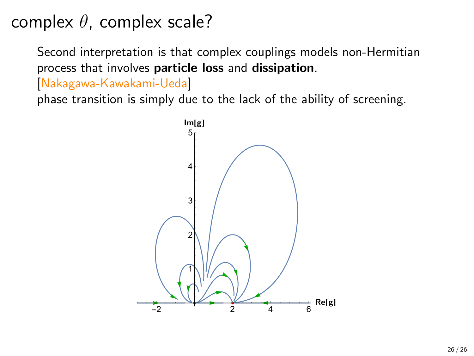complex  $\theta$ , complex scale?

Second interpretation is that complex couplings models non-Hermitian process that involves particle loss and dissipation.

[Nakagawa-Kawakami-Ueda]

phase transition is simply due to the lack of the ability of screening.

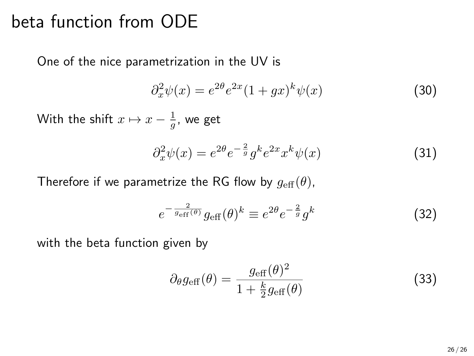### beta function from ODE

One of the nice parametrization in the UV is

$$
\partial_x^2 \psi(x) = e^{2\theta} e^{2x} (1 + gx)^k \psi(x) \tag{30}
$$

With the shift  $x \mapsto x - \frac{1}{g}$ , we get

$$
\partial_x^2 \psi(x) = e^{2\theta} e^{-\frac{2}{g}} g^k e^{2x} x^k \psi(x) \tag{31}
$$

Therefore if we parametrize the RG flow by  $g_{\text{eff}}(\theta)$ ,

$$
e^{-\frac{2}{g_{\text{eff}}(\theta)}} g_{\text{eff}}(\theta)^k \equiv e^{2\theta} e^{-\frac{2}{g}} g^k \tag{32}
$$

with the beta function given by

$$
\partial_{\theta}g_{\text{eff}}(\theta) = \frac{g_{\text{eff}}(\theta)^2}{1 + \frac{k}{2}g_{\text{eff}}(\theta)}
$$
(33)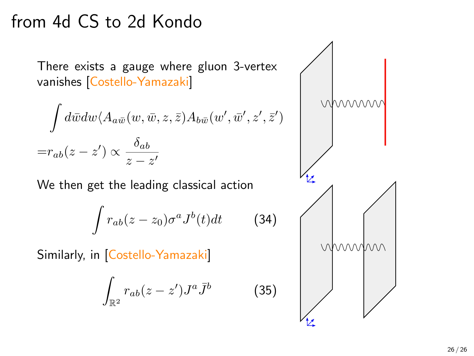### from 4d CS to 2d Kondo

There exists a gauge where gluon 3-vertex vanishes [Costello-Yamazaki]

$$
\int d\bar{w} dw \langle A_{a\bar{w}}(w, \bar{w}, z, \bar{z}) A_{b\bar{w}}(w', \bar{w}', z', \bar{z}')\rangle
$$
  
= $r_{ab}(z-z') \propto \frac{\delta_{ab}}{z-z'}$ 

We then get the leading classical action

$$
\int r_{ab}(z-z_0)\sigma^a J^b(t)dt \qquad \text{(34)}
$$

Similarly, in [Costello-Yamazaki]

$$
\int_{\mathbb{R}^2} r_{ab}(z-z') J^a \bar J^b
$$



(35)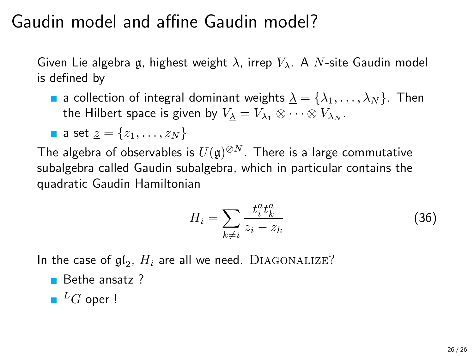### Gaudin model and affine Gaudin model?

Given Lie algebra g, highest weight  $\lambda$ , irrep  $V_{\lambda}$ . A N-site Gaudin model is defined by

**a** a collection of integral dominant weights  $\underline{\lambda} = {\lambda_1, \ldots, \lambda_N}$ . Then the Hilbert space is given by  $V_{\lambda} = V_{\lambda_1} \otimes \cdots \otimes V_{\lambda_N}$ .

**a set** 
$$
\underline{z} = \{z_1, \ldots, z_N\}
$$

The algebra of observables is  $U(\mathfrak{g})^{\otimes N}.$  There is a large commutative subalgebra called Gaudin subalgebra, which in particular contains the quadratic Gaudin Hamiltonian

$$
H_i = \sum_{k \neq i} \frac{t_i^a t_k^a}{z_i - z_k} \tag{36}
$$

In the case of  $\mathfrak{gl}_2$ ,  $H_i$  are all we need.  $\rm DIAGONALIZE?$ 

- $B$ ethe ansatz  $?$
- $L$ <sup>L</sup>G oper !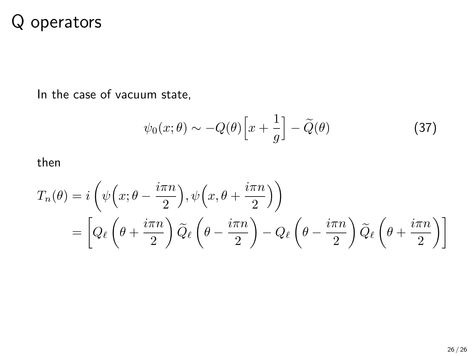### Q operators

In the case of vacuum state,

$$
\psi_0(x;\theta) \sim -Q(\theta) \Big[ x + \frac{1}{g} \Big] - \widetilde{Q}(\theta) \tag{37}
$$

then

$$
T_n(\theta) = i \left( \psi \left( x; \theta - \frac{i \pi n}{2} \right), \psi \left( x, \theta + \frac{i \pi n}{2} \right) \right)
$$
  
= 
$$
\left[ Q_\ell \left( \theta + \frac{i \pi n}{2} \right) \widetilde{Q}_\ell \left( \theta - \frac{i \pi n}{2} \right) - Q_\ell \left( \theta - \frac{i \pi n}{2} \right) \widetilde{Q}_\ell \left( \theta + \frac{i \pi n}{2} \right) \right]
$$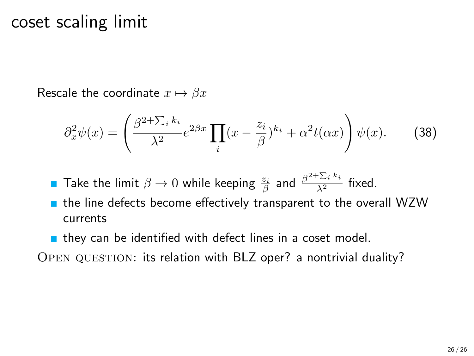### coset scaling limit

Rescale the coordinate  $x \mapsto \beta x$ 

$$
\partial_x^2 \psi(x) = \left(\frac{\beta^{2+\sum_i k_i}}{\lambda^2} e^{2\beta x} \prod_i (x - \frac{z_i}{\beta})^{k_i} + \alpha^2 t(\alpha x)\right) \psi(x). \tag{38}
$$

Take the limit  $\beta \to 0$  while keeping  $\frac{z_i}{\beta}$  and  $\frac{\beta^2 + \sum_i k_i}{\lambda^2}$  fixed.

- $\blacksquare$  the line defects become effectively transparent to the overall WZW currents
- **n** they can be identified with defect lines in a coset model.

Open question: its relation with BLZ oper? a nontrivial duality?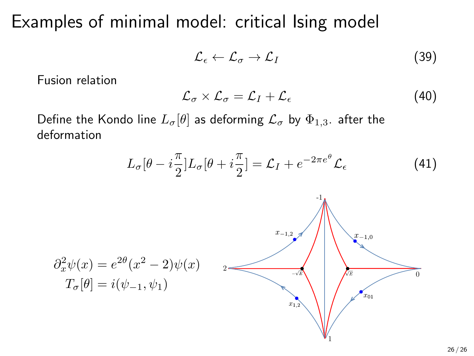Examples of minimal model: critical Ising model

$$
\mathcal{L}_{\epsilon} \leftarrow \mathcal{L}_{\sigma} \rightarrow \mathcal{L}_{I} \tag{39}
$$

Fusion relation

$$
\mathcal{L}_{\sigma} \times \mathcal{L}_{\sigma} = \mathcal{L}_I + \mathcal{L}_{\epsilon} \tag{40}
$$

Define the Kondo line  $L_{\sigma}[\theta]$  as deforming  $\mathcal{L}_{\sigma}$  by  $\Phi_{1,3}$ . after the deformation

$$
L_{\sigma}[\theta - i\frac{\pi}{2}]L_{\sigma}[\theta + i\frac{\pi}{2}] = \mathcal{L}_I + e^{-2\pi e^{\theta}} \mathcal{L}_{\epsilon}
$$
 (41)



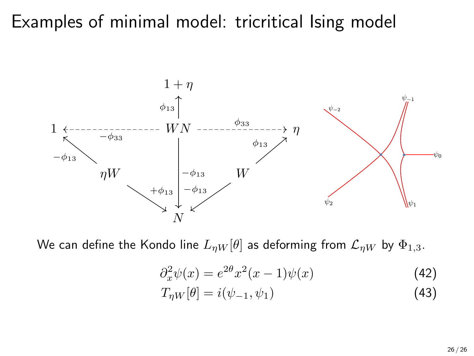### Examples of minimal model: tricritical Ising model



We can define the Kondo line  $L_{\eta W}[\theta]$  as deforming from  $\mathcal{L}_{\eta W}$  by  $\Phi_{1,3}$ .

$$
\partial_x^2 \psi(x) = e^{2\theta} x^2 (x - 1) \psi(x) \tag{42}
$$

$$
T_{\eta W}[\theta] = i(\psi_{-1}, \psi_1) \tag{43}
$$